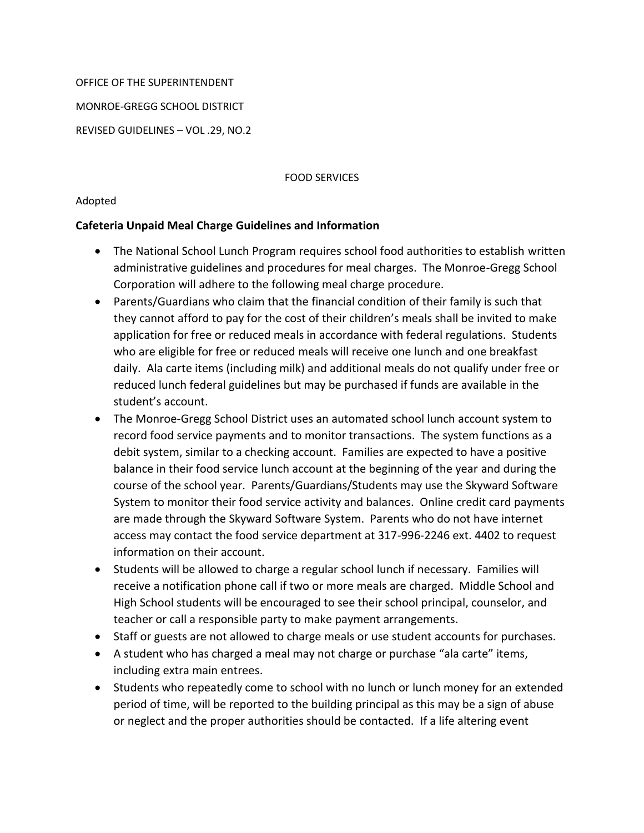## OFFICE OF THE SUPERINTENDENT

MONROE-GREGG SCHOOL DISTRICT

REVISED GUIDELINES – VOL .29, NO.2

## FOOD SERVICES

## Adopted

## **Cafeteria Unpaid Meal Charge Guidelines and Information**

- The National School Lunch Program requires school food authorities to establish written administrative guidelines and procedures for meal charges. The Monroe-Gregg School Corporation will adhere to the following meal charge procedure.
- Parents/Guardians who claim that the financial condition of their family is such that they cannot afford to pay for the cost of their children's meals shall be invited to make application for free or reduced meals in accordance with federal regulations. Students who are eligible for free or reduced meals will receive one lunch and one breakfast daily. Ala carte items (including milk) and additional meals do not qualify under free or reduced lunch federal guidelines but may be purchased if funds are available in the student's account.
- The Monroe-Gregg School District uses an automated school lunch account system to record food service payments and to monitor transactions. The system functions as a debit system, similar to a checking account. Families are expected to have a positive balance in their food service lunch account at the beginning of the year and during the course of the school year. Parents/Guardians/Students may use the Skyward Software System to monitor their food service activity and balances. Online credit card payments are made through the Skyward Software System. Parents who do not have internet access may contact the food service department at 317-996-2246 ext. 4402 to request information on their account.
- Students will be allowed to charge a regular school lunch if necessary. Families will receive a notification phone call if two or more meals are charged. Middle School and High School students will be encouraged to see their school principal, counselor, and teacher or call a responsible party to make payment arrangements.
- Staff or guests are not allowed to charge meals or use student accounts for purchases.
- A student who has charged a meal may not charge or purchase "ala carte" items, including extra main entrees.
- Students who repeatedly come to school with no lunch or lunch money for an extended period of time, will be reported to the building principal as this may be a sign of abuse or neglect and the proper authorities should be contacted. If a life altering event